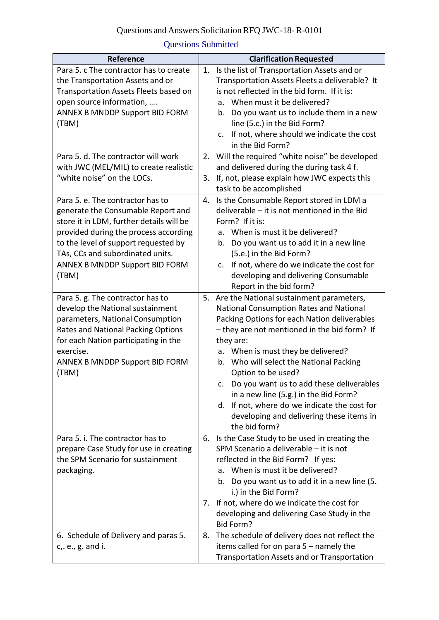## Questions Submitted

| Reference                                                                                                                                                                                                                                                                                                                                                                                                                                                                                                                                          | <b>Clarification Requested</b>                                                                                                                                                                                                                                                                                                                                                                                                                                                                                                                                                                                                                                                                                                                                                                                                                                                  |
|----------------------------------------------------------------------------------------------------------------------------------------------------------------------------------------------------------------------------------------------------------------------------------------------------------------------------------------------------------------------------------------------------------------------------------------------------------------------------------------------------------------------------------------------------|---------------------------------------------------------------------------------------------------------------------------------------------------------------------------------------------------------------------------------------------------------------------------------------------------------------------------------------------------------------------------------------------------------------------------------------------------------------------------------------------------------------------------------------------------------------------------------------------------------------------------------------------------------------------------------------------------------------------------------------------------------------------------------------------------------------------------------------------------------------------------------|
| Para 5. c The contractor has to create<br>the Transportation Assets and or<br>Transportation Assets Fleets based on<br>open source information,<br><b>ANNEX B MNDDP Support BID FORM</b><br>(TBM)<br>Para 5. d. The contractor will work                                                                                                                                                                                                                                                                                                           | Is the list of Transportation Assets and or<br>1.<br>Transportation Assets Fleets a deliverable? It<br>is not reflected in the bid form. If it is:<br>When must it be delivered?<br>a.<br>Do you want us to include them in a new<br>b.<br>line (5.c.) in the Bid Form?<br>If not, where should we indicate the cost<br>$C_{\star}$<br>in the Bid Form?<br>Will the required "white noise" be developed<br>2.                                                                                                                                                                                                                                                                                                                                                                                                                                                                   |
| with JWC (MEL/MIL) to create realistic<br>"white noise" on the LOCs.                                                                                                                                                                                                                                                                                                                                                                                                                                                                               | and delivered during the during task 4 f.<br>3.<br>If, not, please explain how JWC expects this<br>task to be accomplished                                                                                                                                                                                                                                                                                                                                                                                                                                                                                                                                                                                                                                                                                                                                                      |
| Para 5, e. The contractor has to<br>generate the Consumable Report and<br>store it in LDM, further details will be<br>provided during the process according<br>to the level of support requested by<br>TAs, CCs and subordinated units.<br><b>ANNEX B MNDDP Support BID FORM</b><br>(TBM)<br>Para 5. g. The contractor has to<br>develop the National sustainment<br>parameters, National Consumption<br>Rates and National Packing Options<br>for each Nation participating in the<br>exercise.<br><b>ANNEX B MNDDP Support BID FORM</b><br>(TBM) | Is the Consumable Report stored in LDM a<br>4.<br>deliverable - it is not mentioned in the Bid<br>Form? If it is:<br>When is must it be delivered?<br>a.<br>Do you want us to add it in a new line<br>b.<br>(5.e.) in the Bid Form?<br>If not, where do we indicate the cost for<br>c.<br>developing and delivering Consumable<br>Report in the bid form?<br>Are the National sustainment parameters,<br>5.<br>National Consumption Rates and National<br>Packing Options for each Nation deliverables<br>- they are not mentioned in the bid form? If<br>they are:<br>a. When is must they be delivered?<br>b. Who will select the National Packing<br>Option to be used?<br>c. Do you want us to add these deliverables<br>in a new line (5.g.) in the Bid Form?<br>d. If not, where do we indicate the cost for<br>developing and delivering these items in<br>the bid form? |
| Para 5. i. The contractor has to<br>prepare Case Study for use in creating<br>the SPM Scenario for sustainment<br>packaging.                                                                                                                                                                                                                                                                                                                                                                                                                       | 6. Is the Case Study to be used in creating the<br>SPM Scenario a deliverable - it is not<br>reflected in the Bid Form? If yes:<br>When is must it be delivered?<br>a.<br>Do you want us to add it in a new line (5.<br>b.<br>i.) in the Bid Form?<br>If not, where do we indicate the cost for<br>7.<br>developing and delivering Case Study in the<br>Bid Form?                                                                                                                                                                                                                                                                                                                                                                                                                                                                                                               |
| 6. Schedule of Delivery and paras 5.<br>c, e., g. and i.                                                                                                                                                                                                                                                                                                                                                                                                                                                                                           | The schedule of delivery does not reflect the<br>8.<br>items called for on para $5$ – namely the<br>Transportation Assets and or Transportation                                                                                                                                                                                                                                                                                                                                                                                                                                                                                                                                                                                                                                                                                                                                 |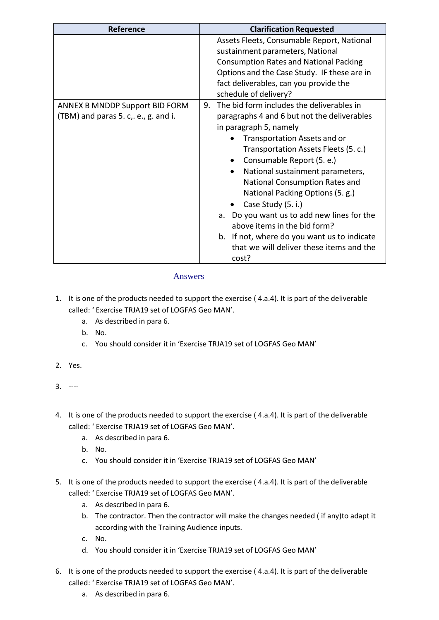| <b>Reference</b>                                                              | <b>Clarification Requested</b>                                                                                                                                                                                                                                                                                                                                                                                                                                                                                                                     |
|-------------------------------------------------------------------------------|----------------------------------------------------------------------------------------------------------------------------------------------------------------------------------------------------------------------------------------------------------------------------------------------------------------------------------------------------------------------------------------------------------------------------------------------------------------------------------------------------------------------------------------------------|
|                                                                               | Assets Fleets, Consumable Report, National<br>sustainment parameters, National<br><b>Consumption Rates and National Packing</b><br>Options and the Case Study. IF these are in<br>fact deliverables, can you provide the<br>schedule of delivery?                                                                                                                                                                                                                                                                                                  |
| <b>ANNEX B MNDDP Support BID FORM</b><br>(TBM) and paras 5. c,. e., g. and i. | The bid form includes the deliverables in<br>9.<br>paragraphs 4 and 6 but not the deliverables<br>in paragraph 5, namely<br>Transportation Assets and or<br>Transportation Assets Fleets (5. c.)<br>Consumable Report (5. e.)<br>National sustainment parameters,<br>National Consumption Rates and<br>National Packing Options (5. g.)<br>Case Study (5. i.)<br>Do you want us to add new lines for the<br>а.<br>above items in the bid form?<br>b. If not, where do you want us to indicate<br>that we will deliver these items and the<br>cost? |

## Answers

- 1. It is one of the products needed to support the exercise ( 4.a.4). It is part of the deliverable called: ' Exercise TRJA19 set of LOGFAS Geo MAN'.
	- a. As described in para 6.
	- b. No.
	- c. You should consider it in 'Exercise TRJA19 set of LOGFAS Geo MAN'
- 2. Yes.
- 3. ----
- 4. It is one of the products needed to support the exercise ( 4.a.4). It is part of the deliverable called: ' Exercise TRJA19 set of LOGFAS Geo MAN'.
	- a. As described in para 6.
	- b. No.
	- c. You should consider it in 'Exercise TRJA19 set of LOGFAS Geo MAN'
- 5. It is one of the products needed to support the exercise ( 4.a.4). It is part of the deliverable called: ' Exercise TRJA19 set of LOGFAS Geo MAN'.
	- a. As described in para 6.
	- b. The contractor. Then the contractor will make the changes needed ( if any)to adapt it according with the Training Audience inputs.
	- c. No.
	- d. You should consider it in 'Exercise TRJA19 set of LOGFAS Geo MAN'
- 6. It is one of the products needed to support the exercise ( 4.a.4). It is part of the deliverable called: ' Exercise TRJA19 set of LOGFAS Geo MAN'.
	- a. As described in para 6.